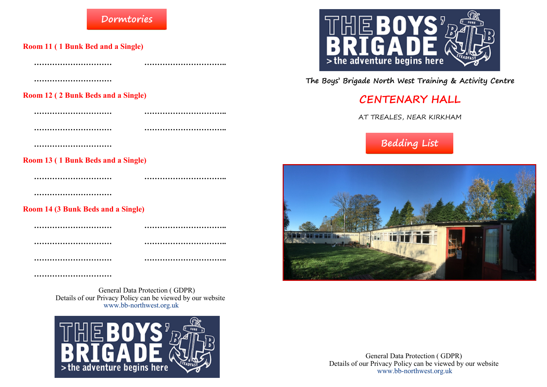### **Dormtories**

**Room 11 ( 1 Bunk Bed and a Single)**

| <b>Room 12 (2 Bunk Beds and a Single)</b> |  |
|-------------------------------------------|--|
|                                           |  |
|                                           |  |
|                                           |  |

**Room 13 ( 1 Bunk Beds and a Single)**

**…………………………**

#### **Room 14 (3 Bunk Beds and a Single)**

**………………………… ………………………….. ………………………… ………………………….. ………………………… …………………………..**

**………………………… …………………………..**

**…………………………**

General Data Protection ( GDPR) Details of our Privacy Policy can be viewed by our website www.bb-northwest.org.uk



#### **The Boys' Brigade North West Training & Activity Centre**

## **CENTENARY HALL**

AT TREALES, NEAR KIRKHAM







General Data Protection ( GDPR) Details of our Privacy Policy can be viewed by our website www.bb-northwest.org.uk